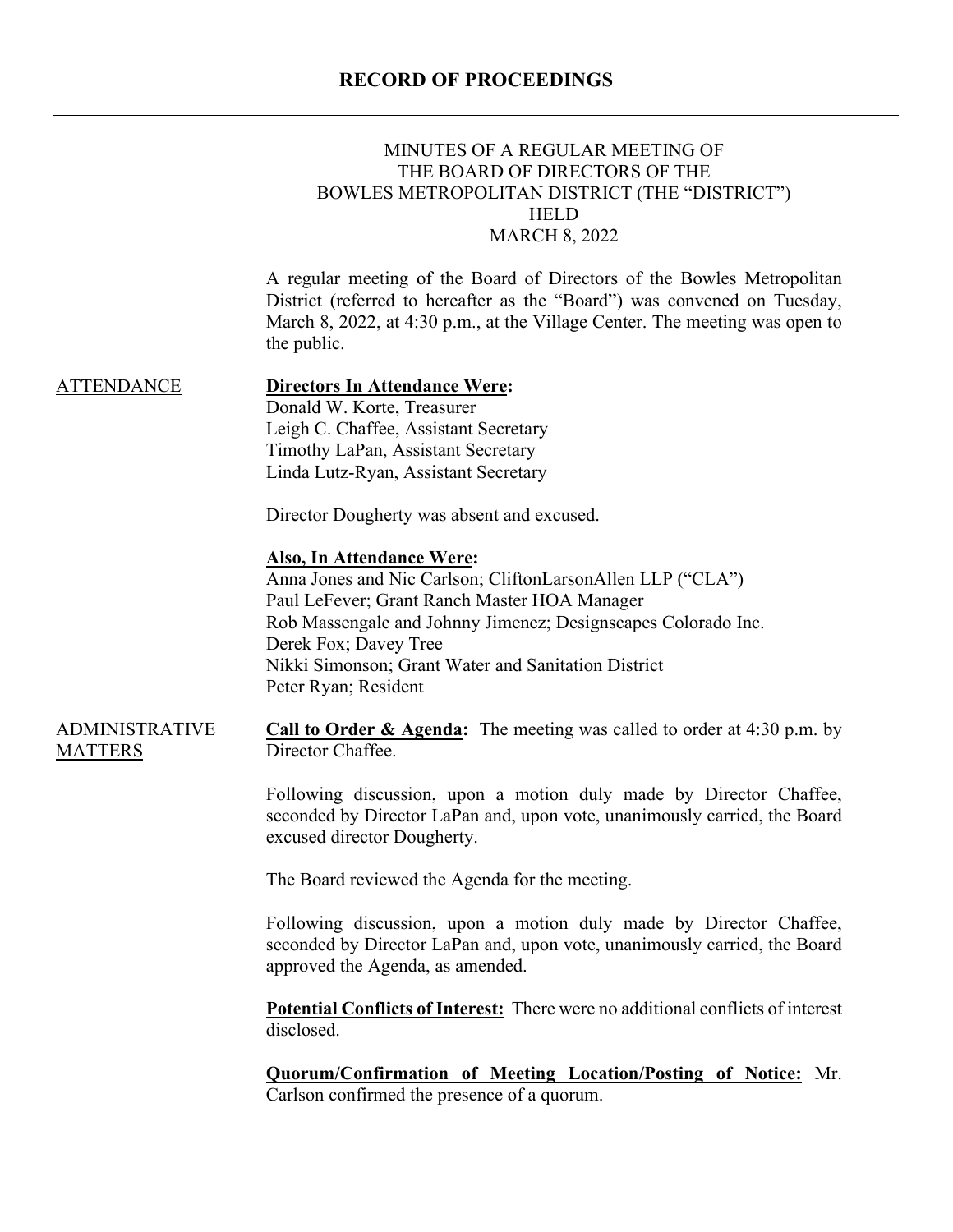# **RECORD OF PROCEEDINGS**

|                                         | MINUTES OF A REGULAR MEETING OF<br>THE BOARD OF DIRECTORS OF THE<br>BOWLES METROPOLITAN DISTRICT (THE "DISTRICT")<br><b>HELD</b><br><b>MARCH 8, 2022</b>                                                                                                                                                                |
|-----------------------------------------|-------------------------------------------------------------------------------------------------------------------------------------------------------------------------------------------------------------------------------------------------------------------------------------------------------------------------|
|                                         | A regular meeting of the Board of Directors of the Bowles Metropolitan<br>District (referred to hereafter as the "Board") was convened on Tuesday,<br>March 8, 2022, at 4:30 p.m., at the Village Center. The meeting was open to<br>the public.                                                                        |
| <b>ATTENDANCE</b>                       | <b>Directors In Attendance Were:</b><br>Donald W. Korte, Treasurer<br>Leigh C. Chaffee, Assistant Secretary<br>Timothy LaPan, Assistant Secretary<br>Linda Lutz-Ryan, Assistant Secretary                                                                                                                               |
|                                         | Director Dougherty was absent and excused.                                                                                                                                                                                                                                                                              |
|                                         | <b>Also, In Attendance Were:</b><br>Anna Jones and Nic Carlson; CliftonLarsonAllen LLP ("CLA")<br>Paul LeFever; Grant Ranch Master HOA Manager<br>Rob Massengale and Johnny Jimenez; Designscapes Colorado Inc.<br>Derek Fox; Davey Tree<br>Nikki Simonson; Grant Water and Sanitation District<br>Peter Ryan; Resident |
| <b>ADMINISTRATIVE</b><br><b>MATTERS</b> | <b>Call to Order &amp; Agenda:</b> The meeting was called to order at $4:30$ p.m. by<br>Director Chaffee.                                                                                                                                                                                                               |
|                                         | Following discussion, upon a motion duly made by Director Chaffee,<br>seconded by Director LaPan and, upon vote, unanimously carried, the Board<br>excused director Dougherty.                                                                                                                                          |
|                                         | The Board reviewed the Agenda for the meeting.                                                                                                                                                                                                                                                                          |
|                                         | Following discussion, upon a motion duly made by Director Chaffee,<br>seconded by Director LaPan and, upon vote, unanimously carried, the Board<br>approved the Agenda, as amended.                                                                                                                                     |
|                                         | <b>Potential Conflicts of Interest:</b> There were no additional conflicts of interest<br>disclosed.                                                                                                                                                                                                                    |
|                                         | <b>Quorum/Confirmation of Meeting Location/Posting of Notice:</b> Mr.<br>Carlson confirmed the presence of a quorum.                                                                                                                                                                                                    |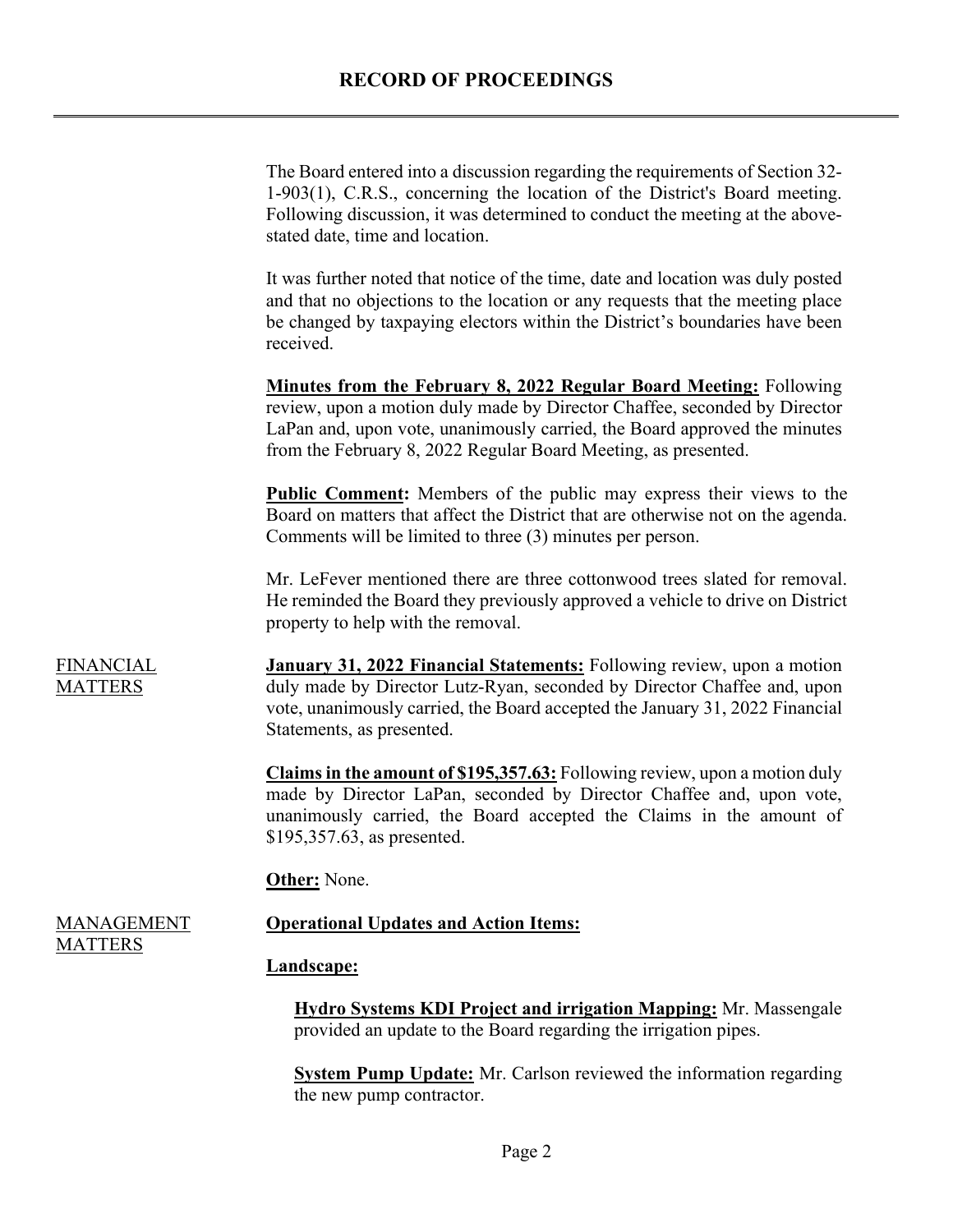## **RECORD OF PROCEEDINGS**

The Board entered into a discussion regarding the requirements of Section 32- 1-903(1), C.R.S., concerning the location of the District's Board meeting. Following discussion, it was determined to conduct the meeting at the abovestated date, time and location.

It was further noted that notice of the time, date and location was duly posted and that no objections to the location or any requests that the meeting place be changed by taxpaying electors within the District's boundaries have been received.

**Minutes from the February 8, 2022 Regular Board Meeting:** Following review, upon a motion duly made by Director Chaffee, seconded by Director LaPan and, upon vote, unanimously carried, the Board approved the minutes from the February 8, 2022 Regular Board Meeting, as presented.

**Public Comment:** Members of the public may express their views to the Board on matters that affect the District that are otherwise not on the agenda. Comments will be limited to three (3) minutes per person.

Mr. LeFever mentioned there are three cottonwood trees slated for removal. He reminded the Board they previously approved a vehicle to drive on District property to help with the removal.

**January 31, 2022 Financial Statements:** Following review, upon a motion duly made by Director Lutz-Ryan, seconded by Director Chaffee and, upon vote, unanimously carried, the Board accepted the January 31, 2022 Financial Statements, as presented.

**Claims in the amount of \$195,357.63:** Following review, upon a motion duly made by Director LaPan, seconded by Director Chaffee and, upon vote, unanimously carried, the Board accepted the Claims in the amount of \$195,357.63, as presented.

## **Other:** None.

## **Operational Updates and Action Items:**

#### **Landscape:**

**Hydro Systems KDI Project and irrigation Mapping:** Mr. Massengale provided an update to the Board regarding the irrigation pipes.

**System Pump Update:** Mr. Carlson reviewed the information regarding the new pump contractor.

MANAGEMENT MATTERS

FINANCIAL MATTERS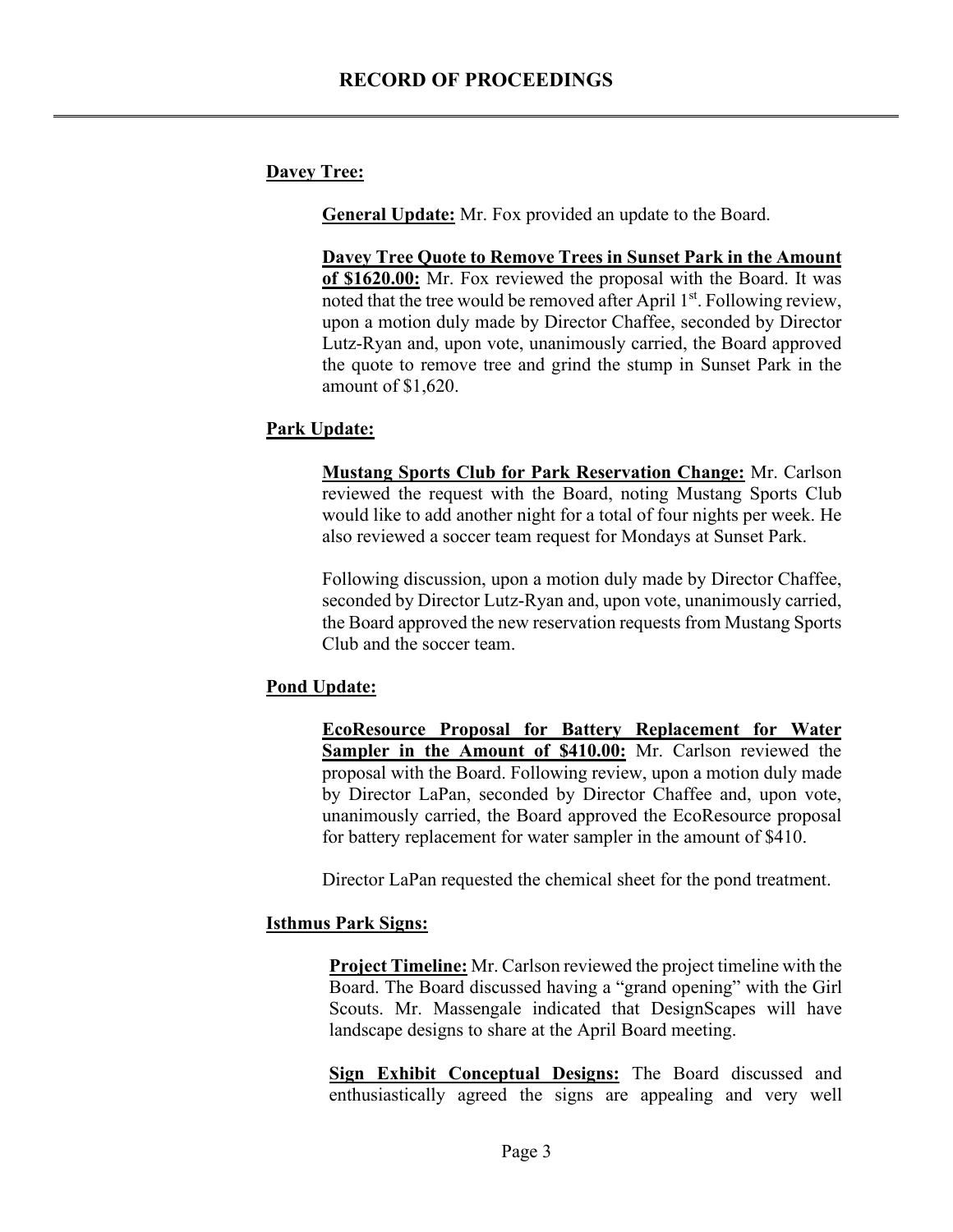## **Davey Tree:**

**General Update:** Mr. Fox provided an update to the Board.

**Davey Tree Quote to Remove Trees in Sunset Park in the Amount of \$1620.00:** Mr. Fox reviewed the proposal with the Board. It was noted that the tree would be removed after April 1<sup>st</sup>. Following review, upon a motion duly made by Director Chaffee, seconded by Director Lutz-Ryan and, upon vote, unanimously carried, the Board approved the quote to remove tree and grind the stump in Sunset Park in the amount of \$1,620.

## **Park Update:**

**Mustang Sports Club for Park Reservation Change:** Mr. Carlson reviewed the request with the Board, noting Mustang Sports Club would like to add another night for a total of four nights per week. He also reviewed a soccer team request for Mondays at Sunset Park.

Following discussion, upon a motion duly made by Director Chaffee, seconded by Director Lutz-Ryan and, upon vote, unanimously carried, the Board approved the new reservation requests from Mustang Sports Club and the soccer team.

## **Pond Update:**

**EcoResource Proposal for Battery Replacement for Water Sampler in the Amount of \$410.00:** Mr. Carlson reviewed the proposal with the Board. Following review, upon a motion duly made by Director LaPan, seconded by Director Chaffee and, upon vote, unanimously carried, the Board approved the EcoResource proposal for battery replacement for water sampler in the amount of \$410.

Director LaPan requested the chemical sheet for the pond treatment.

## **Isthmus Park Signs:**

**Project Timeline:** Mr. Carlson reviewed the project timeline with the Board. The Board discussed having a "grand opening" with the Girl Scouts. Mr. Massengale indicated that DesignScapes will have landscape designs to share at the April Board meeting.

**Sign Exhibit Conceptual Designs:** The Board discussed and enthusiastically agreed the signs are appealing and very well